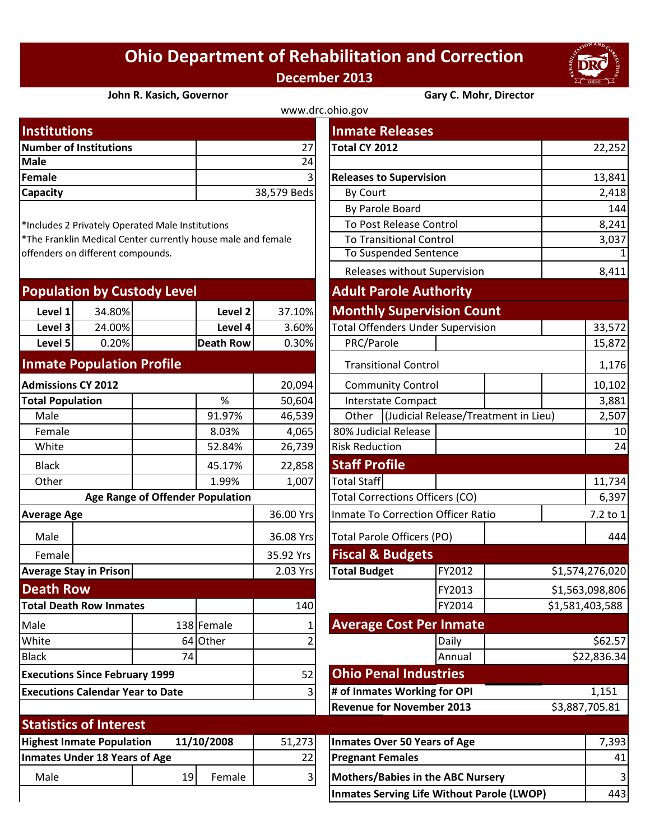## **Ohio Department of Rehabilitation and Correction December 2013**



## **John R. Kasich, Governor Gary C. Mohr, Director**

| www.drc.ohio.gov              |             |                                |        |  |  |  |
|-------------------------------|-------------|--------------------------------|--------|--|--|--|
| <b>Institutions</b>           |             | <b>Inmate Releases</b>         |        |  |  |  |
| <b>Number of Institutions</b> | 27          | Total CY 2012                  | 22,252 |  |  |  |
| Male                          | 24          |                                |        |  |  |  |
| Female                        | 31          | <b>Releases to Supervision</b> | 13,841 |  |  |  |
| <b>Capacity</b>               | 38,579 Beds | By Court                       | 2,418  |  |  |  |
|                               |             |                                |        |  |  |  |

| <b>Population by Custody Level</b> |        |            | <b>Adult Parole Authority</b> |                                          |  |  |
|------------------------------------|--------|------------|-------------------------------|------------------------------------------|--|--|
| Level 1                            | 34.80% | Level 2    | 37.10%                        | <b>Monthly Supervision Count</b>         |  |  |
| Level 3                            | 24.00% | Level 4    | 3.60%                         | <b>Total Offenders Under Supervision</b> |  |  |
| Level 5                            | 0.20%  | Death Rowl | 0.30%                         | PRC/Parole                               |  |  |
|                                    |        |            |                               |                                          |  |  |

## **Inmate Population Profile**

| <b>Admissions CY 2012</b>                      |                               |                                  |            | 20,094              |                                           | <b>Community Control</b>    |        |  |
|------------------------------------------------|-------------------------------|----------------------------------|------------|---------------------|-------------------------------------------|-----------------------------|--------|--|
| <b>Total Population</b>                        |                               |                                  | %          | 50,604              | <b>Interstate Compact</b>                 |                             |        |  |
| Male                                           |                               |                                  | 91.97%     | 46,539              | Other                                     | (Judicial Release/Treatme   |        |  |
| Female                                         |                               |                                  | 8.03%      | 4,065               |                                           | 80% Judicial Release        |        |  |
| White                                          |                               |                                  | 52.84%     | 26,739              | <b>Risk Reduction</b>                     |                             |        |  |
| <b>Black</b>                                   |                               |                                  | 45.17%     | 22,858              | <b>Staff Profile</b>                      |                             |        |  |
| Other                                          |                               |                                  | 1.99%      | 1,007               | <b>Total Staff</b>                        |                             |        |  |
|                                                |                               | Age Range of Offender Population |            |                     | <b>Total Corrections Officers (CO)</b>    |                             |        |  |
| <b>Average Age</b>                             |                               |                                  | 36.00 Yrs  |                     | <b>Inmate To Correction Officer Ratio</b> |                             |        |  |
| Male                                           |                               |                                  | 36.08 Yrs  |                     | <b>Total Parole Officers (PO)</b>         |                             |        |  |
| Female                                         |                               |                                  |            |                     |                                           | <b>Fiscal &amp; Budgets</b> |        |  |
| <b>Average Stay in Prison</b>                  |                               |                                  | 2.03 Yrs   | <b>Total Budget</b> |                                           | FY2012                      |        |  |
| <b>Death Row</b>                               |                               |                                  |            |                     |                                           |                             | FY2013 |  |
| <b>Total Death Row Inmates</b>                 |                               |                                  | 140        |                     |                                           | FY2014                      |        |  |
| Male                                           |                               |                                  | 138 Female |                     | <b>Average Cost Per Inmate</b>            |                             |        |  |
| White                                          |                               |                                  | 64 Other   |                     |                                           |                             | Daily  |  |
| <b>Black</b>                                   |                               | 74                               |            |                     |                                           |                             | Annual |  |
| <b>Executions Since February 1999</b>          |                               |                                  |            | 52                  | <b>Ohio Penal Industries</b>              |                             |        |  |
| <b>Executions Calendar Year to Date</b>        |                               |                                  | 3          |                     | # of Inmates Working for OPI              |                             |        |  |
|                                                |                               |                                  |            |                     | <b>Revenue for November 2013</b>          |                             |        |  |
|                                                | <b>Statistics of Interest</b> |                                  |            |                     |                                           |                             |        |  |
| 11/10/2008<br><b>Highest Inmate Population</b> |                               |                                  | 51,273     |                     | <b>Inmates Over 50 Years of Age</b>       |                             |        |  |
| <b>Inmates Under 18 Years of Age</b>           |                               |                                  | 22         |                     | <b>Pregnant Females</b>                   |                             |        |  |
| Male                                           |                               | 19                               | Female     | 3                   | <b>Mothers/Babies in the ABC Nursery</b>  |                             |        |  |

| <b>Institutions</b>                            |        |                                                  |                                                              |                 | <b>Inmate Releases</b>                            |                                      |  |                 |  |
|------------------------------------------------|--------|--------------------------------------------------|--------------------------------------------------------------|-----------------|---------------------------------------------------|--------------------------------------|--|-----------------|--|
| <b>Number of Institutions</b>                  |        |                                                  |                                                              | 27              | Total CY 2012                                     |                                      |  | 22,252          |  |
| <b>Male</b>                                    |        |                                                  |                                                              | $\overline{24}$ |                                                   |                                      |  |                 |  |
| <b>Female</b>                                  |        |                                                  |                                                              |                 |                                                   | <b>Releases to Supervision</b>       |  |                 |  |
| Capacity                                       |        |                                                  |                                                              | 38,579 Beds     | By Court                                          |                                      |  | 2,418           |  |
|                                                |        |                                                  |                                                              |                 | By Parole Board                                   |                                      |  | 144             |  |
|                                                |        | *Includes 2 Privately Operated Male Institutions |                                                              |                 | To Post Release Control                           |                                      |  | 8,241           |  |
|                                                |        |                                                  | *The Franklin Medical Center currently house male and female |                 |                                                   | <b>To Transitional Control</b>       |  |                 |  |
| offenders on different compounds.              |        |                                                  |                                                              |                 | To Suspended Sentence                             |                                      |  | $\mathbf{1}$    |  |
|                                                |        |                                                  |                                                              |                 | Releases without Supervision                      |                                      |  | 8,411           |  |
|                                                |        | <b>Population by Custody Level</b>               |                                                              |                 | <b>Adult Parole Authority</b>                     |                                      |  |                 |  |
| Level 1                                        | 34.80% |                                                  | Level 2                                                      | 37.10%          | <b>Monthly Supervision Count</b>                  |                                      |  |                 |  |
| Level 3                                        | 24.00% |                                                  | Level 4                                                      | 3.60%           | <b>Total Offenders Under Supervision</b>          |                                      |  | 33,572          |  |
| Level 5                                        | 0.20%  |                                                  | <b>Death Row</b>                                             | 0.30%           | PRC/Parole                                        |                                      |  | 15,872          |  |
| <b>Inmate Population Profile</b>               |        |                                                  |                                                              |                 | <b>Transitional Control</b>                       |                                      |  | 1,176           |  |
| <b>Admissions CY 2012</b>                      |        |                                                  | 20,094                                                       |                 | <b>Community Control</b>                          |                                      |  |                 |  |
| <b>Total Population</b>                        |        |                                                  | $\%$                                                         | 50,604          |                                                   | <b>Interstate Compact</b>            |  | 3,881           |  |
| Male                                           |        |                                                  | 91.97%                                                       | 46,539          | Other                                             | (Judicial Release/Treatment in Lieu) |  |                 |  |
| Female                                         |        |                                                  | 8.03%                                                        | 4,065           | 80% Judicial Release                              |                                      |  | 10              |  |
| White                                          |        |                                                  | 52.84%                                                       | 26,739          | <b>Risk Reduction</b>                             |                                      |  | 24              |  |
| <b>Black</b>                                   |        |                                                  | 45.17%                                                       | 22,858          | <b>Staff Profile</b>                              |                                      |  |                 |  |
| Other                                          |        |                                                  | 1.99%                                                        | 1,007           | <b>Total Staff</b>                                |                                      |  | 11,734          |  |
|                                                |        | <b>Age Range of Offender Population</b>          |                                                              |                 | <b>Total Corrections Officers (CO)</b>            |                                      |  | 6,397           |  |
| <b>Average Age</b>                             |        |                                                  |                                                              | 36.00 Yrs       | <b>Inmate To Correction Officer Ratio</b>         |                                      |  | 7.2 to 1        |  |
| Male                                           |        |                                                  |                                                              | 36.08 Yrs       | <b>Total Parole Officers (PO)</b>                 |                                      |  | 444             |  |
| Female                                         |        |                                                  |                                                              | 35.92 Yrs       | <b>Fiscal &amp; Budgets</b>                       |                                      |  |                 |  |
| <b>Average Stay in Prison</b>                  |        |                                                  |                                                              | 2.03 Yrs        | <b>Total Budget</b>                               | FY2012                               |  | \$1,574,276,020 |  |
| <b>Death Row</b>                               |        |                                                  |                                                              |                 |                                                   | FY2013                               |  | \$1,563,098,806 |  |
| <b>Total Death Row Inmates</b>                 |        |                                                  |                                                              | 140             |                                                   | FY2014                               |  | \$1,581,403,588 |  |
| Male                                           |        |                                                  | 138 Female                                                   |                 | <b>Average Cost Per Inmate</b>                    |                                      |  |                 |  |
| White                                          |        |                                                  | 64 Other                                                     |                 |                                                   | Daily                                |  | \$62.57         |  |
| <b>Black</b>                                   |        | 74                                               |                                                              |                 |                                                   | Annual                               |  | \$22,836.34     |  |
| <b>Executions Since February 1999</b>          |        |                                                  |                                                              | 52              | <b>Ohio Penal Industries</b>                      |                                      |  |                 |  |
| <b>Executions Calendar Year to Date</b>        |        |                                                  | # of Inmates Working for OPI                                 |                 |                                                   | 1,151                                |  |                 |  |
|                                                |        |                                                  |                                                              |                 | <b>Revenue for November 2013</b>                  |                                      |  | \$3,887,705.81  |  |
| <b>Statistics of Interest</b>                  |        |                                                  |                                                              |                 |                                                   |                                      |  |                 |  |
| <b>Highest Inmate Population</b><br>11/10/2008 |        |                                                  |                                                              | 51,273          | <b>Inmates Over 50 Years of Age</b>               |                                      |  | 7,393           |  |
| <b>Inmates Under 18 Years of Age</b>           |        |                                                  |                                                              | 22              | <b>Pregnant Females</b>                           |                                      |  | 41              |  |
| Male                                           |        | 19                                               | Female                                                       | 31              | Mothers/Babies in the ABC Nursery                 |                                      |  | 3               |  |
|                                                |        |                                                  |                                                              |                 | <b>Inmates Serving Life Without Parole (LWOP)</b> |                                      |  | 443             |  |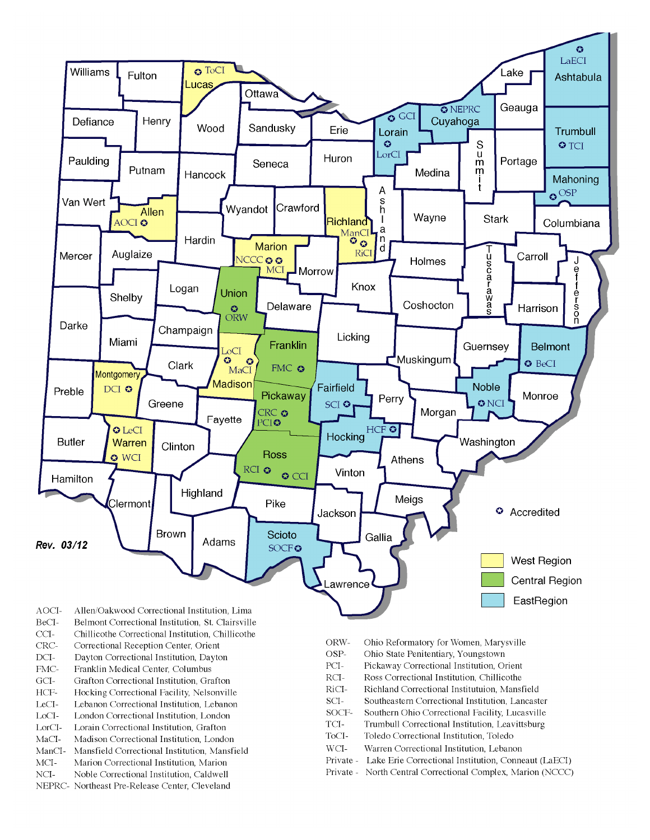

- BeCI-Belmont Correctional Institution, St. Clairsville
- $CCI-$ Chillicothe Correctional Institution, Chillicothe
- Correctional Reception Center, Orient CRC-
- $DCI-$ Dayton Correctional Institution, Dayton
- FMC-Franklin Medical Center, Columbus
- $\rm{GCI}\mbox{-}$ Grafton Correctional Institution, Grafton
- HCF-Hocking Correctional Facility, Nelsonville
- LeCI-Lebanon Correctional Institution, Lebanon
- LoCI-London Correctional Institution. London
- $\operatorname{LorCl-}$ Lorain Correctional Institution, Grafton
- $MaCI-$ Madison Correctional Institution, London
- ManCI-Mansfield Correctional Institution, Mansfield MCI-Marion Correctional Institution, Marion
- Noble Correctional Institution, Caldwell
- NCI-NEPRC- Northeast Pre-Release Center, Cleveland
- ORW-Ohio Reformatory for Women, Marysville
- OSP-Ohio State Penitentiary, Youngstown
- PCI-Pickaway Correctional Institution, Orient
- $\rm RCI-$ Ross Correctional Institution, Chillicothe
- RiCI-Richland Correctional Institutuion, Mansfield
- SCI-Southeastern Correctional Institution, Lancaster
- SOCF-Southern Ohio Correctional Facility, Lucasville
- TCI-Trumbull Correctional Institution, Leavittsburg
- ToCI-Toledo Correctional Institution, Toledo
- $WCI-$ Warren Correctional Institution, Lebanon
- Private Lake Erie Correctional Institution, Conneaut (LaECI)
- Private North Central Correctional Complex, Marion (NCCC)